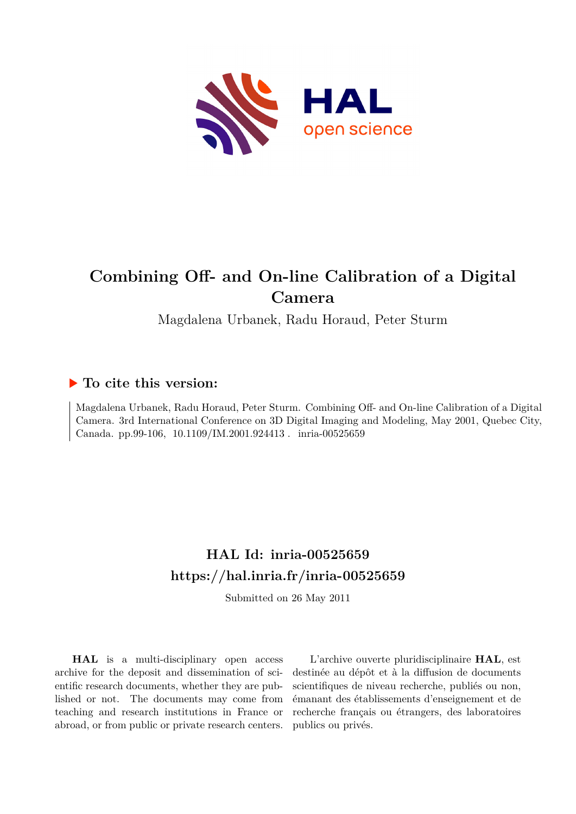

# **Combining Off- and On-line Calibration of a Digital Camera**

Magdalena Urbanek, Radu Horaud, Peter Sturm

## **To cite this version:**

Magdalena Urbanek, Radu Horaud, Peter Sturm. Combining Off- and On-line Calibration of a Digital Camera. 3rd International Conference on 3D Digital Imaging and Modeling, May 2001, Quebec City, Canada. pp.99-106, 10.1109/IM.2001.924413. inria-00525659

## **HAL Id: inria-00525659 <https://hal.inria.fr/inria-00525659>**

Submitted on 26 May 2011

**HAL** is a multi-disciplinary open access archive for the deposit and dissemination of scientific research documents, whether they are published or not. The documents may come from teaching and research institutions in France or abroad, or from public or private research centers.

L'archive ouverte pluridisciplinaire **HAL**, est destinée au dépôt et à la diffusion de documents scientifiques de niveau recherche, publiés ou non, émanant des établissements d'enseignement et de recherche français ou étrangers, des laboratoires publics ou privés.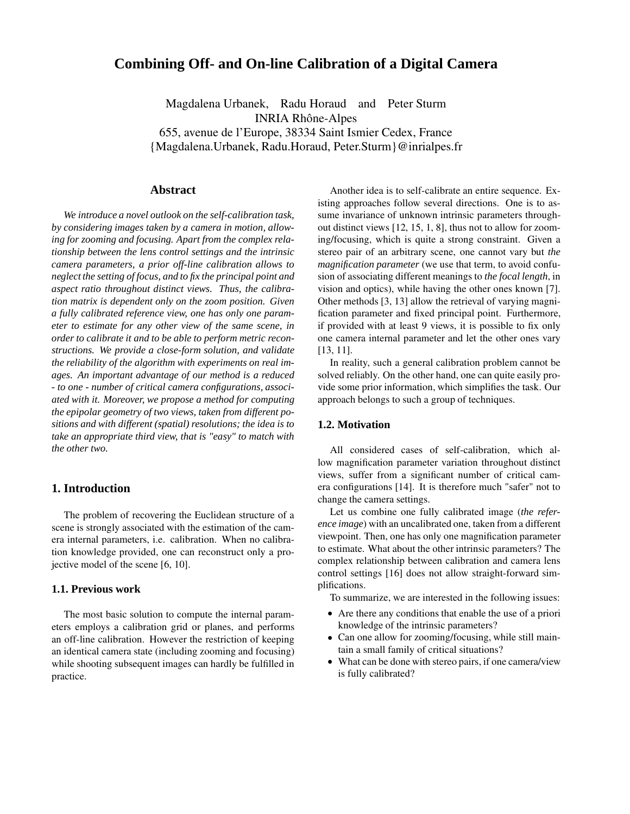### **Combining Off- and On-line Calibration of a Digital Camera**

Magdalena Urbanek, Radu Horaud and Peter Sturm INRIA Rhône-Alpes 655, avenue de l'Europe, 38334 Saint Ismier Cedex, France {Magdalena.Urbanek, Radu.Horaud, Peter.Sturm}@inrialpes.fr

#### **Abstract**

*We introduce a novel outlook on the self-calibration task, by considering images taken by a camera in motion, allowing for zooming and focusing. Apart from the complex relationship between the lens control settings and the intrinsic camera parameters, a prior off-line calibration allows to neglect the setting of focus, and to fix the principal point and aspect ratio throughout distinct views. Thus, the calibration matrix is dependent only on the zoom position. Given a fully calibrated reference view, one has only one parameter to estimate for any other view of the same scene, in order to calibrate it and to be able to perform metric reconstructions. We provide a close-form solution, and validate the reliability of the algorithm with experiments on real images. An important advantage of our method is a reduced - to one - number of critical camera configurations, associated with it. Moreover, we propose a method for computing the epipolar geometry of two views, taken from different positions and with different (spatial) resolutions; the idea is to take an appropriate third view, that is "easy" to match with the other two.*

#### **1. Introduction**

The problem of recovering the Euclidean structure of a scene is strongly associated with the estimation of the camera internal parameters, i.e. calibration. When no calibration knowledge provided, one can reconstruct only a projective model of the scene [6, 10].

#### **1.1. Previous work**

The most basic solution to compute the internal parameters employs a calibration grid or planes, and performs an off-line calibration. However the restriction of keeping an identical camera state (including zooming and focusing) while shooting subsequent images can hardly be fulfilled in practice.

Another idea is to self-calibrate an entire sequence. Existing approaches follow several directions. One is to assume invariance of unknown intrinsic parameters throughout distinct views [12, 15, 1, 8], thus not to allow for zooming/focusing, which is quite a strong constraint. Given a stereo pair of an arbitrary scene, one cannot vary but *the magnification parameter* (we use that term, to avoid confusion of associating different meanings to *the focal length*, in vision and optics), while having the other ones known [7]. Other methods [3, 13] allow the retrieval of varying magnification parameter and fixed principal point. Furthermore, if provided with at least 9 views, it is possible to fix only one camera internal parameter and let the other ones vary [13, 11].

In reality, such a general calibration problem cannot be solved reliably. On the other hand, one can quite easily provide some prior information, which simplifies the task. Our approach belongs to such a group of techniques.

#### **1.2. Motivation**

All considered cases of self-calibration, which allow magnification parameter variation throughout distinct views, suffer from a significant number of critical camera configurations [14]. It is therefore much "safer" not to change the camera settings.

Let us combine one fully calibrated image (*the reference image*) with an uncalibrated one, taken from a different viewpoint. Then, one has only one magnification parameter to estimate. What about the other intrinsic parameters? The complex relationship between calibration and camera lens control settings [16] does not allow straight-forward simplifications.

To summarize, we are interested in the following issues:

- Are there any conditions that enable the use of a priori knowledge of the intrinsic parameters?
- Can one allow for zooming/focusing, while still maintain a small family of critical situations?
- What can be done with stereo pairs, if one camera/view is fully calibrated?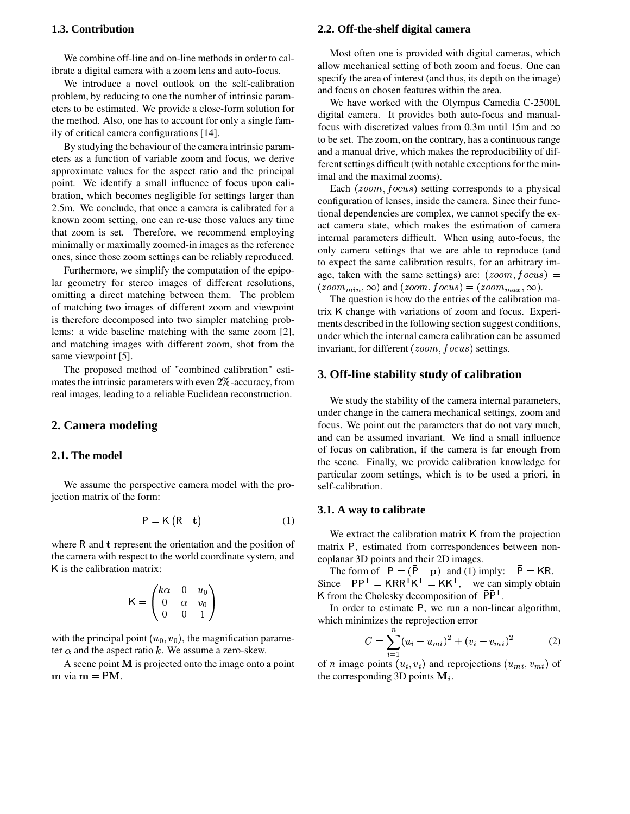#### **1.3. Contribution**

We combine off-line and on-line methods in order to calibrate a digital camera with a zoom lens and auto-focus.

We introduce a novel outlook on the self-calibration problem, by reducing to one the number of intrinsic parameters to be estimated. We provide a close-form solution for the method. Also, one has to account for only a single family of critical camera configurations [14].

By studying the behaviour of the camera intrinsic parameters as a function of variable zoom and focus, we derive approximate values for the aspect ratio and the principal point. We identify a small influence of focus upon calibration, which becomes negligible for settings larger than 2.5m. We conclude, that once a camera is calibrated for a known zoom setting, one can re-use those values any time that zoom is set. Therefore, we recommend employing minimally or maximally zoomed-in images as the reference ones, since those zoom settings can be reliably reproduced.

Furthermore, we simplify the computation of the epipolar geometry for stereo images of different resolutions, omitting a direct matching between them. The problem of matching two images of different zoom and viewpoint is therefore decomposed into two simpler matching problems: a wide baseline matching with the same zoom [2], and matching images with different zoom, shot from the same viewpoint [5].

The proposed method of "combined calibration" estimates the intrinsic parameters with even  $2\%$ -accuracy, from real images, leading to a reliable Euclidean reconstruction.

#### **2. Camera modeling**

#### **2.1. The model**

We assume the perspective camera model with the projection matrix of the form:

$$
P = K (R \t t) \t(1)
$$

where  $R$  and  $t$  represent the orientation and the position of the camera with respect to the world coordinate system, and K is the calibration matrix:

$$
\mathsf{K} = \begin{pmatrix} k\alpha & 0 & u_0 \\ 0 & \alpha & v_0 \\ 0 & 0 & 1 \end{pmatrix}
$$

with the principal point  $(u_0, v_0)$ , the magnification parameter  $\alpha$  and the aspect ratio k. We assume a zero-skew.

A scene point  **is projected onto the image onto a point via**  $**m** = PM$ **.** 

#### **2.2. Off-the-shelf digital camera**

Most often one is provided with digital cameras, which allow mechanical setting of both zoom and focus. One can specify the area of interest (and thus, its depth on the image) and focus on chosen features within the area.

We have worked with the Olympus Camedia C-2500L digital camera. It provides both auto-focus and manualfocus with discretized values from 0.3m until 15m and  $\infty$ to be set. The zoom, on the contrary, has a continuousrange and a manual drive, which makes the reproducibility of different settings difficult (with notable exceptions for the minimal and the maximal zooms).

Each  $(zoom, focus)$  setting corresponds to a physical configuration of lenses, inside the camera. Since their functional dependencies are complex, we cannot specify the exact camera state, which makes the estimation of camera internal parameters difficult. When using auto-focus, the only camera settings that we are able to reproduce (and to expect the same calibration results, for an arbitrary image, taken with the same settings) are:  $(zoom, focus) =$  $(zoom_{min}, \infty)$  and  $(zoom, focus) = (zoom_{max}, \infty)$ .

The question is how do the entries of the calibration matrix change with variations of zoom and focus. Experiments described in the following section suggest conditions, under which the internal camera calibration can be assumed invariant, for different  $(zoom, focus)$  settings.

#### **3. Off-line stability study of calibration**

We study the stability of the camera internal parameters, under change in the camera mechanical settings, zoom and focus. We point out the parameters that do not vary much, and can be assumed invariant. We find a small influence of focus on calibration, if the camera is far enough from the scene. Finally, we provide calibration knowledge for particular zoom settings, which is to be used a priori, in self-calibration.

#### **3.1. A way to calibrate**

We extract the calibration matrix K from the projection matrix P, estimated from correspondences between noncoplanar 3D points and their 2D images.

The form of  $P = (P \ p)$  and (1) imply:  $P = KR$ . Since  $PP^{T} = KRR^{T}K^{T} = KK^{T}$ , we can simply obtain K from the Cholesky decomposition of  $PP<sup>T</sup>$ .

In order to estimate P, we run a non-linear algorithm, which minimizes the reprojection error

$$
C = \sum_{i=1}^{n} (u_i - u_{mi})^2 + (v_i - v_{mi})^2
$$
 (2)

of *n* image points  $(u_i, v_i)$  and reprojections  $(u_{mi}, v_{mi})$  of the corresponding 3D points  $M_i$ .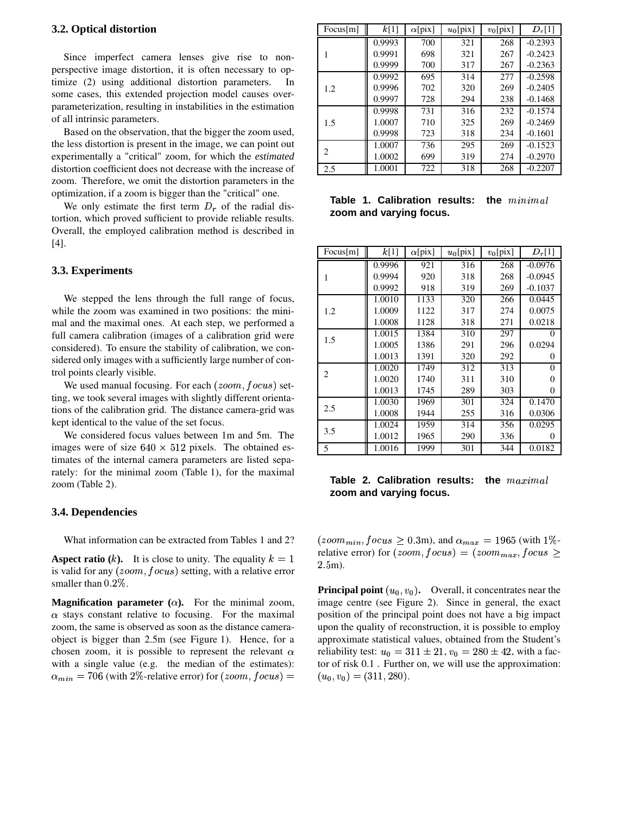#### **3.2. Optical distortion**

Since imperfect camera lenses give rise to nonperspective image distortion, it is often necessary to optimize (2) using additional distortion parameters. In some cases, this extended projection model causes overparameterization, resulting in instabilities in the estimation of all intrinsic parameters.

Based on the observation, that the bigger the zoom used, the less distortion is present in the image, we can point out experimentally a "critical" zoom, for which the *estimated* distortion coefficient does not decrease with the increase of zoom. Therefore, we omit the distortion parameters in the optimization, if a zoom is bigger than the "critical" one.

We only estimate the first term  $D<sub>r</sub>$  of the radial distortion, which proved sufficient to provide reliable results. Overall, the employed calibration method is described in [4].

#### **3.3. Experiments**

We stepped the lens through the full range of focus, while the zoom was examined in two positions: the minimal and the maximal ones. At each step, we performed a full camera calibration (images of a calibration grid were considered). To ensure the stability of calibration, we considered only images with a sufficiently large number of control points clearly visible.

We used manual focusing. For each  $(zoom, focus)$  setting, we took several images with slightly different orientations of the calibration grid. The distance camera-grid was kept identical to the value of the set focus.

We considered focus values between 1m and 5m. The images were of size  $640 \times 512$  pixels. The obtained estimates of the internal camera parameters are listed separately: for the minimal zoom (Table 1), for the maximal zoom (Table 2).

#### **3.4. Dependencies**

What information can be extracted from Tables 1 and 2?

**Aspect ratio**  $(k)$ . It is close to unity. The equality is valid for any  $(zoom, focus)$  setting, with a relative error smaller than  $0.2\%$ .

**Magnification parameter**  $(\alpha)$ . For the minimal zoom, stays constant relative to focusing. For the maximal zoom, the same is observed as soon as the distance cameraobject is bigger than 2.5m (see Figure 1). Hence, for a chosen zoom, it is possible to represent the relevant  $\alpha$ with a single value (e.g. the median of the estimates):  $\alpha_{min} = 706$  (with 2%-relative error) for  $(zoom, focus) =$ 

| Focus[m] | k[1]   | $\alpha$ [pix] | $u_0$ [pix] | $v_0$ [pix] | $D_r[1]$  |
|----------|--------|----------------|-------------|-------------|-----------|
| 1        | 0.9993 | 700            | 321         | 268         | $-0.2393$ |
|          | 0.9991 | 698            | 321         | 267         | $-0.2423$ |
|          | 0.9999 | 700            | 317         | 267         | $-0.2363$ |
| 1.2      | 0.9992 | 695            | 314         | 277         | $-0.2598$ |
|          | 0.9996 | 702            | 320         | 269         | $-0.2405$ |
|          | 0.9997 | 728            | 294         | 238         | $-0.1468$ |
| 1.5      | 0.9998 | 731            | 316         | 232         | $-0.1574$ |
|          | 1.0007 | 710            | 325         | 269         | $-0.2469$ |
|          | 0.9998 | 723            | 318         | 234         | $-0.1601$ |
| 2        | 1.0007 | 736            | 295         | 269         | $-0.1523$ |
|          | 1.0002 | 699            | 319         | 274         | $-0.2970$ |
| 2.5      | 1.0001 | 722            | 318         | 268         | $-0.2207$ |

**Table 1. Calibration results: the**  $minimal$ **zoom and varying focus.**

| Focus[m] | k[1]   | $\alpha$ [pix] | $u_0$ [pix] | $v_0$ [pix] | $D_r[1]$  |
|----------|--------|----------------|-------------|-------------|-----------|
| 1        | 0.9996 | 921            | 316         | 268         | $-0.0976$ |
|          | 0.9994 | 920            | 318         | 268         | $-0.0945$ |
|          | 0.9992 | 918            | 319         | 269         | $-0.1037$ |
|          | 1.0010 | 1133           | 320         | 266         | 0.0445    |
| 1.2      | 1.0009 | 1122           | 317         | 274         | 0.0075    |
|          | 1.0008 | 1128           | 318         | 271         | 0.0218    |
| 1.5      | 1.0015 | 1384           | 310         | 297         | 0         |
|          | 1.0005 | 1386           | 291         | 296         | 0.0294    |
|          | 1.0013 | 1391           | 320         | 292         | 0         |
|          | 1.0020 | 1749           | 312         | 313         | $\theta$  |
| 2        | 1.0020 | 1740           | 311         | 310         | $\Omega$  |
|          | 1.0013 | 1745           | 289         | 303         | $\Omega$  |
| 2.5      | 1.0030 | 1969           | 301         | 324         | 0.1470    |
|          | 1.0008 | 1944           | 255         | 316         | 0.0306    |
| 3.5      | 1.0024 | 1959           | 314         | 356         | 0.0295    |
|          | 1.0012 | 1965           | 290         | 336         | $\theta$  |
| 5        | 1.0016 | 1999           | 301         | 344         | 0.0182    |

#### **Table 2. Calibration results: the**  $maximal$ **zoom and varying focus.**

 $k = 1$  can be seen to  $2.5$ m). (*zoom<sub>min</sub>*,  $focus \ge 0.3$ m), and  $\alpha_{max} = 1965$  (with 1%relative error) for  $(zoom, focus) = (zoom_{max}, focus \geq$ 

 - tor of risk 0.1 . Further on, we will use the approximation:  $\textit{ocus)} =$   $(u_0, v_0) = (311, 280).$ **Principal point**  $(u_0, v_0)$ . Overall, it concentrates near the image centre (see Figure 2). Since in general, the exact position of the principal point does not have a big impact upon the quality of reconstruction, it is possible to employ approximate statistical values, obtained from the Student's reliability test:  $u_0 = 311 \pm 21$ ,  $v_0 = 280 \pm 42$ , with a fac-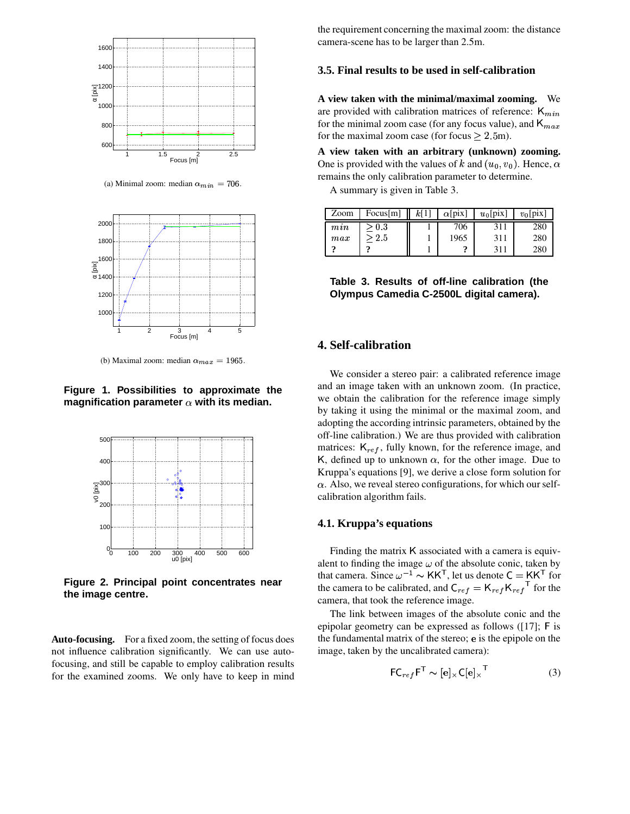

(a) Minimal zoom: median  $\alpha_{min} = 706$ .



(b) Maximal zoom: median  $\alpha_{max} = 1965$ .

**Figure 1. Possibilities to approximate the magnification parameter with its median.**



**Figure 2. Principal point concentrates near the image centre.**

**Auto-focusing.** For a fixed zoom, the setting of focus does not influence calibration significantly. We can use autofocusing, and still be capable to employ calibration results for the examined zooms. We only have to keep in mind

the requirement concerning the maximal zoom: the distance camera-scene has to be larger than 2.5m.

#### **3.5. Final results to be used in self-calibration**

**A view taken with the minimal/maximal zooming.** We are provided with calibration matrices of reference:  $K_{min}$ for the minimal zoom case (for any focus value), and  $K_{max}$ for the maximal zoom case (for focus  $\geq 2.5$ m).

**A view taken with an arbitrary (unknown) zooming.** One is provided with the values of k and  $(u_0, v_0)$ . Hence,  $\alpha$ remains the only calibration parameter to determine.

A summary is given in Table 3.

| Zoom     | Focus[m] | k[1]<br>Ш | $\alpha$ [pix] | $u_0$ [pix] | $v_0$ [pix] |
|----------|----------|-----------|----------------|-------------|-------------|
| min      | > 0.3    |           | 706            | 311         | 280         |
| $_{max}$ | -2.5     |           | 1965           | 311         | 280         |
|          |          |           |                | 311         | 280         |

**Table 3. Results of off-line calibration (the Olympus Camedia C-2500L digital camera).**

#### **4. Self-calibration**

We consider a stereo pair: a calibrated reference image and an image taken with an unknown zoom. (In practice, we obtain the calibration for the reference image simply by taking it using the minimal or the maximal zoom, and adopting the according intrinsic parameters, obtained by the off-line calibration.) We are thus provided with calibration matrices:  $K_{ref}$ , fully known, for the reference image, and K, defined up to unknown  $\alpha$ , for the other image. Due to Kruppa's equations [9], we derive a close form solution for calibration algorithm fails.  $\alpha$ . Also, we reveal stereo configurations, for which our self-

#### **4.1. Kruppa's equations**

Finding the matrix K associated with a camera is equivalent to finding the image  $\omega$  of the absolute conic, taken by that camera. Since  $\omega^{-1} \sim \text{KK}^T$ , let us denote  $C = \text{KK}^T$  for the camera to be calibrated, and  $C_{ref} = K_{ref} K_{ref}$ <sup>1</sup> for the camera, that took the reference image.

The link between images of the absolute conic and the epipolar geometry can be expressed as follows  $([17];$  F is the fundamental matrix of the stereo; e is the epipole on the image, taken by the uncalibrated camera):

$$
\mathsf{FC}_{ref}\mathsf{F}^{\mathsf{T}} \sim [\mathbf{e}] \times \mathsf{C}[\mathbf{e}] \times^{\mathsf{T}}
$$
 (3)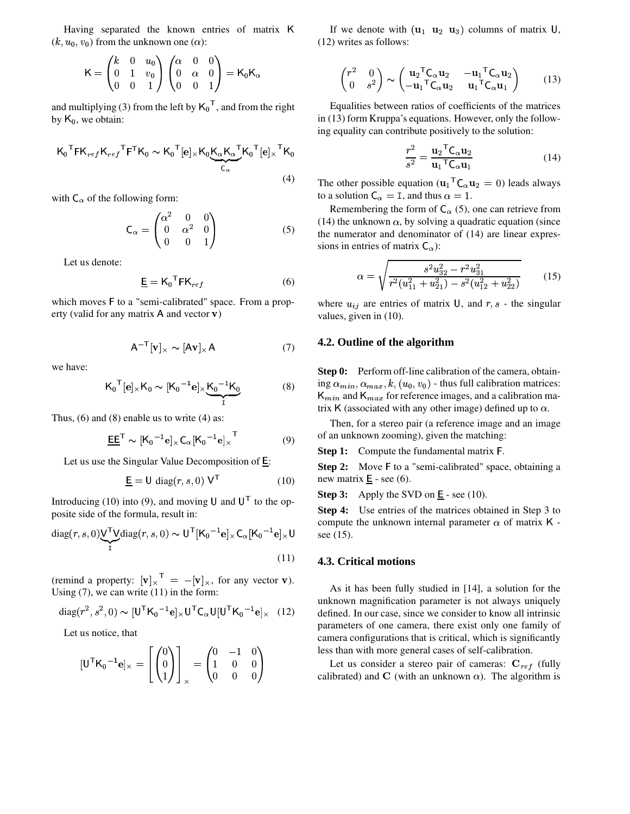Having separated the known entries of matrix K  $(k, u_0, v_0)$  from the unknown one  $(\alpha)$ :

 $\mathcal{L} = \{1, 2, \ldots, n\}$ 

$$
\mathsf{K} = \begin{pmatrix} k & 0 & u_0 \\ 0 & 1 & v_0 \\ 0 & 0 & 1 \end{pmatrix} \begin{pmatrix} \alpha & 0 & 0 \\ 0 & \alpha & 0 \\ 0 & 0 & 1 \end{pmatrix} = \mathsf{K}_0 \mathsf{K}_{\alpha}
$$

and multiplying (3) from the left by  $K_0^{-1}$ , and from the right by  $K_0$ , we obtain:

$$
K_0^{\mathsf{T}} F K_{ref} K_{ref}^{\mathsf{T}} F^{\mathsf{T}} K_0 \sim K_0^{\mathsf{T}} [e] \times K_0 \underbrace{K_\alpha K_\alpha^{\mathsf{T}} K_0^{\mathsf{T}} [e] \times^{\mathsf{T}} K_0}_{C_\alpha}
$$
\n(4) The O

with  $C_{\alpha}$  of the following form:

$$
\mathsf{C}_{\alpha} = \begin{pmatrix} \alpha^2 & 0 & 0 \\ 0 & \alpha^2 & 0 \\ 0 & 0 & 1 \end{pmatrix} \tag{5}
$$

Let us denote:

$$
\underline{\mathbf{E}} = \mathbf{K}_0^{\mathsf{T}} \mathbf{F} \mathbf{K}_{ref} \tag{6}
$$

which moves F to a "semi-calibrated" space. From a property (valid for any matrix  $A$  and vector  $\bf{v}$ )

$$
A^{-T}[v]_{\times} \sim [Av]_{\times} A \tag{7}
$$

we have:

$$
K_0^{\mathsf{T}}[e]_{\times}K_0 \sim [K_0^{-1}e]_{\times} \underbrace{K_0^{-1}K_0}_{\mathsf{T}}
$$
 (8)

Thus, (6) and (8) enable us to write (4) as:

$$
\underline{\mathsf{EE}}^{\mathsf{T}} \sim [K_0^{-1} \mathbf{e}]_{\times} C_{\alpha} [K_0^{-1} \mathbf{e}]_{\times}^{\mathsf{T}}
$$
(9)

Let us use the Singular Value Decomposition of  $E$ :

$$
\underline{\mathbf{E}} = \mathbf{U} \operatorname{diag}(r, s, 0) \mathbf{V}^{\mathsf{T}}
$$
 (10)

Introducing (10) into (9), and moving U and  $U<sup>T</sup>$  to the opposite side of the formula, result in:

diag(r, s, 0)
$$
\underset{I}{\vee}^{\mathsf{T}}\underset{I}{\vee}diag(r, s, 0) \sim U^{\mathsf{T}}[K_0^{-1}\mathbf{e}] \times C_{\alpha}[K_0^{-1}\mathbf{e}] \times U
$$
 see (15).  
(11) 43. Crit

(remind a property:  $[\mathbf{v}]_{\times}^{\dagger} = -[\mathbf{v}]_{\times}$ , for any vector **v**). Using (7), we can write (11) in the form:

$$
\text{diag}(r^2, s^2, 0) \sim [\mathsf{U}^\mathsf{T} \mathsf{K}_0^{-1} \mathbf{e}] \times \mathsf{U}^\mathsf{T} \mathsf{C}_\alpha \mathsf{U} [\mathsf{U}^\mathsf{T} \mathsf{K}_0^{-1} \mathbf{e}] \times (12)
$$

Let us notice, that

$$
[\mathbf{U}^{\mathsf{T}} \mathbf{K}_0^{-1} \mathbf{e}]_{\times} = \begin{bmatrix} 0 \\ 0 \\ 1 \end{bmatrix}_{\times} = \begin{pmatrix} 0 & -1 & 0 \\ 1 & 0 & 0 \\ 0 & 0 & 0 \end{pmatrix}
$$

If we denote with  $(\mathbf{u}_1 \ \mathbf{u}_2 \ \mathbf{u}_3)$  columns of matrix U,<br>
() writes as follows: (12) writes as follows:

$$
\begin{pmatrix} r^2 & 0 \ 0 & s^2 \end{pmatrix} \sim \begin{pmatrix} \mathbf{u}_2^T \mathbf{C}_{\alpha} \mathbf{u}_2 & -\mathbf{u}_1^T \mathbf{C}_{\alpha} \mathbf{u}_2 \\ -\mathbf{u}_1^T \mathbf{C}_{\alpha} \mathbf{u}_2 & \mathbf{u}_1^T \mathbf{C}_{\alpha} \mathbf{u}_1 \end{pmatrix} \tag{13}
$$

Equalities between ratios of coefficients of the matrices in (13) form Kruppa's equations. However, only the following equality can contribute positively to the solution:

$$
\frac{r^2}{s^2} = \frac{\mathbf{u}_2^{\top} \mathbf{C}_{\alpha} \mathbf{u}_2}{\mathbf{u}_1^{\top} \mathbf{C}_{\alpha} \mathbf{u}_1} \tag{14}
$$

The other possible equation  $(u_1^T C_\alpha u_2 = 0)$  leads always<br>to a solution  $C = I$  and thus  $\alpha = 1$ to a solution  $C_{\alpha} = I$ , and thus  $\alpha = 1$ .

Remembering the form of  $C_{\alpha}$  (5), one can retrieve from (14) the unknown  $\alpha$ , by solving a quadratic equation (since the numerator and denominator of (14) are linear expressions in entries of matrix  $C_{\alpha}$ ):

$$
\alpha = \sqrt{\frac{s^2 u_{32}^2 - r^2 u_{31}^2}{r^2 (u_{11}^2 + u_{21}^2) - s^2 (u_{12}^2 + u_{22}^2)}}
$$
(15)

where  $u_{ij}$  are entries of matrix U, and  $r, s$  - the singular values, given in (10).

#### **4.2. Outline of the algorithm**

**Step 0:** Perform off-line calibration of the camera, obtaining  $\alpha_{min}, \alpha_{max}, k, (u_0, v_0)$  - thus full calibration matrices:  $K_{min}$  and  $K_{max}$  for reference images, and a calibration matrix K (associated with any other image) defined up to  $\alpha$ .

Then, for a stereo pair (a reference image and an image of an unknown zooming), given the matching:

**Step 1:** Compute the fundamental matrix F.

**Step 2:** Move F to a "semi-calibrated" space, obtaining a new matrix  $\underline{E}$  - see (6).

**Step 3:** Apply the SVD on  $\underline{\mathbf{E}}$  - see (10).

**Step 4:** Use entries of the matrices obtained in Step 3 to compute the unknown internal parameter  $\alpha$  of matrix K -

#### **4.3. Critical motions**

As it has been fully studied in [14], a solution for the unknown magnification parameter is not always uniquely defined. In our case, since we consider to know all intrinsic parameters of one camera, there exist only one family of camera configurations that is critical, which is significantly less than with more general cases of self-calibration.

Let us consider a stereo pair of cameras:  $C_{ref}$  (fully calibrated) and C (with an unknown  $\alpha$ ). The algorithm is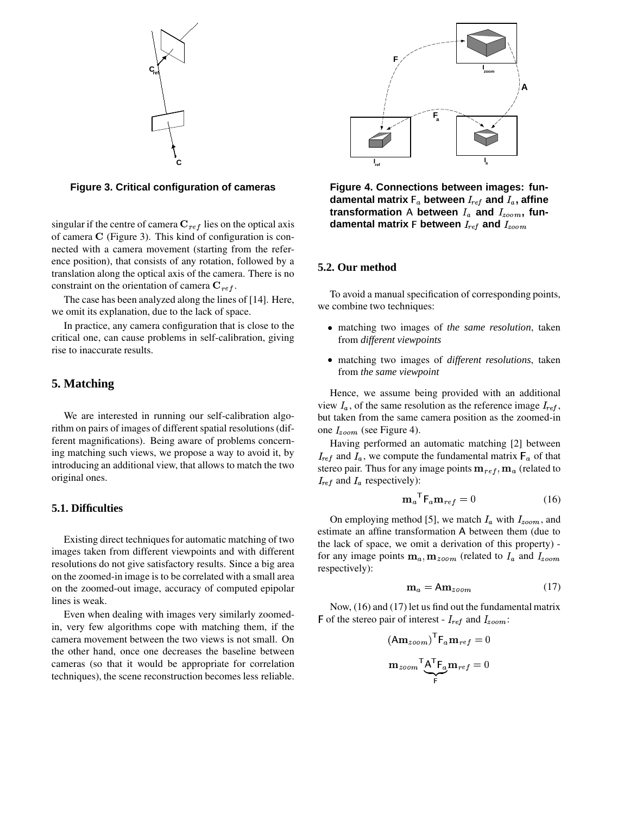



singular if the centre of camera  $C_{ref}$  lies on the optical axis of camera  $C$  (Figure 3). This kind of configuration is connected with a camera movement (starting from the reference position), that consists of any rotation, followed by a translation along the optical axis of the camera. There is no constraint on the orientation of camera  $C_{ref}$ .

The case has been analyzed along the lines of [14]. Here, we omit its explanation, due to the lack of space.

In practice, any camera configuration that is close to the critical one, can cause problems in self-calibration, giving rise to inaccurate results.

### **5. Matching**

We are interested in running our self-calibration algorithm on pairs of images of different spatial resolutions (different magnifications). Being aware of problems concerning matching such views, we propose a way to avoid it, by introducing an additional view, that allows to match the two original ones.

#### **5.1. Difficulties**

Existing direct techniques for automatic matching of two images taken from different viewpoints and with different resolutions do not give satisfactory results. Since a big area on the zoomed-in image is to be correlated with a small area on the zoomed-out image, accuracy of computed epipolar lines is weak.

Even when dealing with images very similarly zoomedin, very few algorithms cope with matching them, if the camera movement between the two views is not small. On the other hand, once one decreases the baseline between cameras (so that it would be appropriate for correlation techniques), the scene reconstruction becomes less reliable.



**Figure 4. Connections between images: fun-** $$ transformation A between  $I_a$  and  $I_{zoom}$ , fundamental matrix **F** between  $I_{ref}$  and  $I_{zoom}$ 

#### **5.2. Our method**

To avoid a manual specification of corresponding points, we combine two techniques:

- matching two images of *the same resolution*, taken from *different viewpoints*
- matching two images of *different resolutions*, taken from *the same viewpoint*

Hence, we assume being provided with an additional view  $I_a$ , of the same resolution as the reference image  $I_{ref}$ , but taken from the same camera position as the zoomed-in one  $I_{zoom}$  (see Figure 4).

Having performed an automatic matching [2] between  $I_{ref}$  and  $I_a$ , we compute the fundamental matrix  $\mathsf{F}_a$  of that stereo pair. Thus for any image points  $\mathbf{m}_{ref}, \mathbf{m}_{a}$  (related to  $I_{ref}$  and  $I_a$  respectively):

$$
\mathbf{m}_a^{\mathsf{T}} \mathsf{F}_a \mathbf{m}_{ref} = 0 \tag{16}
$$

On employing method [5], we match  $I_a$  with  $I_{zoom}$ , and estimate an affine transformation A between them (due to the lack of space, we omit a derivation of this property) for any image points  $\mathbf{m}_a, \mathbf{m}_{zoom}$  (related to  $I_a$  and  $I_{zoom}$ respectively):

$$
\mathbf{m}_a = \mathbf{A} \mathbf{m}_{zoom} \tag{17}
$$

Now, (16) and (17) let us find out the fundamental matrix  $\mathsf{F}$  of the stereo pair of interest -  $I_{ref}$  and  $I_{zoom}$ :

$$
(\mathbf{Am}_{zoom})^{\mathsf{T}} \mathbf{F}_a \mathbf{m}_{ref} = 0
$$

$$
\mathbf{m}_{zoom}^{\mathsf{T}} \mathbf{A}^{\mathsf{T}} \mathbf{F}_a \mathbf{m}_{ref} = 0
$$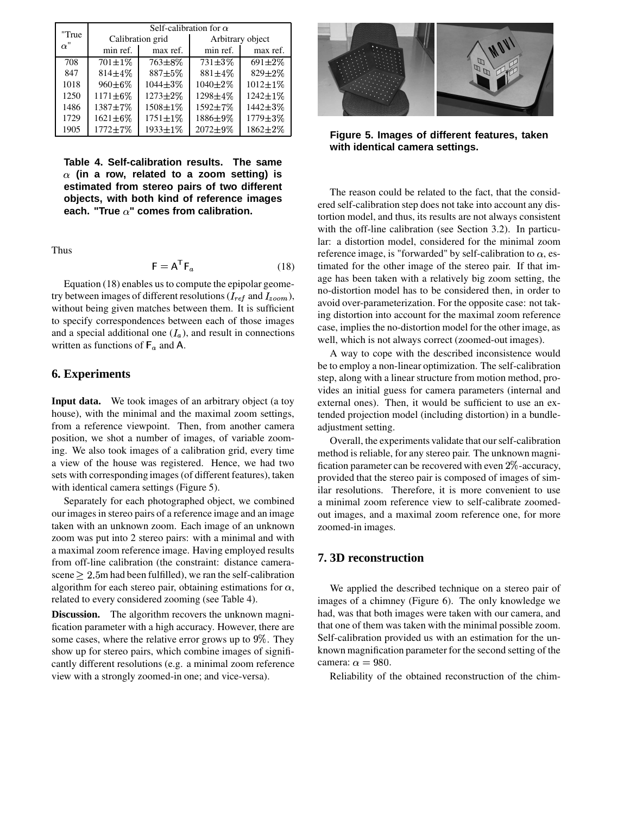|                     | Self-calibration for $\alpha$ |                |                  |                |
|---------------------|-------------------------------|----------------|------------------|----------------|
| "True<br>$\alpha$ " | Calibration grid              |                | Arbitrary object |                |
|                     | min ref.                      | max ref.       | min ref.         | max ref.       |
| 708                 | $\overline{70}1\pm 1\%$       | $763 \pm 8\%$  | $731 \pm 3\%$    | $691 \pm 2\%$  |
| 847                 | $814 \pm 4\%$                 | $887 + 5\%$    | $881 \pm 4\%$    | $829 \pm 2\%$  |
| 1018                | $960 \pm 6\%$                 | $1044 \pm 3\%$ | $1040 \pm 2\%$   | $1012 \pm 1\%$ |
| 1250                | $1171 \pm 6\%$                | 1273±2%        | 1298±4%          | $1242 \pm 1\%$ |
| 1486                | $1387 + 7\%$                  | 1508±1%        | 1592±7%          | $1442 + 3%$    |
| 1729                | $1621 \pm 6\%$                | $1751 \pm 1\%$ | 1886±9%          | $1779 \pm 3\%$ |
| 1905                | $1772 + 7\%$                  | 1933±1%        | $2072 \pm 9\%$   | $1862 \pm 2\%$ |

**Table 4. Self-calibration results. The same estimated from stereo pairs of two different (in a row, related to a zoom setting) is objects, with both kind of reference images each. "True " comes from calibration.**

Thus

$$
\mathsf{F} = \mathsf{A}^{\mathsf{T}} \mathsf{F}_a \tag{18}
$$

Equation (18) enables us to compute the epipolar geometry between images of different resolutions ( $I_{ref}$  and  $I_{zoom}$ ), without being given matches between them. It is sufficient to specify correspondences between each of those images and a special additional one  $(I_a)$ , and result in connections written as functions of  $F_a$  and A.

#### **6. Experiments**

**Input data.** We took images of an arbitrary object (a toy house), with the minimal and the maximal zoom settings, from a reference viewpoint. Then, from another camera position, we shot a number of images, of variable zooming. We also took images of a calibration grid, every time a view of the house was registered. Hence, we had two sets with corresponding images (of different features), taken with identical camera settings (Figure 5).

Separately for each photographed object, we combined our images in stereo pairs of a reference image and an image taken with an unknown zoom. Each image of an unknown zoom was put into 2 stereo pairs: with a minimal and with a maximal zoom reference image. Having employed results from off-line calibration (the constraint: distance camerascene  $\geq 2.5$ m had been fulfilled), we ran the self-calibration algorithm for each stereo pair, obtaining estimations for  $\alpha$ , related to every considered zooming (see Table 4).

**Discussion.** The algorithm recovers the unknown magnification parameter with a high accuracy. However, there are some cases, where the relative error grows up to  $9\%$ . They Seli show up for stereo pairs, which combine images of significantly different resolutions (e.g. a minimal zoom reference view with a strongly zoomed-in one; and vice-versa).



**Figure 5. Images of different features, taken with identical camera settings.**

The reason could be related to the fact, that the considered self-calibration step does not take into account any distortion model, and thus, its results are not always consistent with the off-line calibration (see Section 3.2). In particular: a distortion model, considered for the minimal zoom reference image, is "forwarded" by self-calibration to  $\alpha$ , es timated for the other image of the stereo pair. If that image has been taken with a relatively big zoom setting, the no-distortion model has to be considered then, in order to avoid over-parameterization. For the opposite case: not taking distortion into account for the maximal zoom reference case, implies the no-distortion model for the other image, as well, which is not always correct (zoomed-out images).

A way to cope with the described inconsistence would be to employ a non-linear optimization. The self-calibration step, along with a linear structure from motion method, provides an initial guess for camera parameters (internal and external ones). Then, it would be sufficient to use an extended projection model (including distortion) in a bundleadjustment setting.

Overall, the experiments validate that our self-calibration method is reliable, for any stereo pair. The unknown magnification parameter can be recovered with even  $2\%$ -accuracy, provided that the stereo pair is composed of images of similar resolutions. Therefore, it is more convenient to use a minimal zoom reference view to self-calibrate zoomedout images, and a maximal zoom reference one, for more zoomed-in images.

#### **7. 3D reconstruction**

We applied the described technique on a stereo pair of images of a chimney (Figure 6). The only knowledge we had, was that both images were taken with our camera, and that one of them was taken with the minimal possible zoom. Self-calibration provided us with an estimation for the unknown magnification parameter for the second setting of the camera:  $\alpha = 980$ .

Reliability of the obtained reconstruction of the chim-